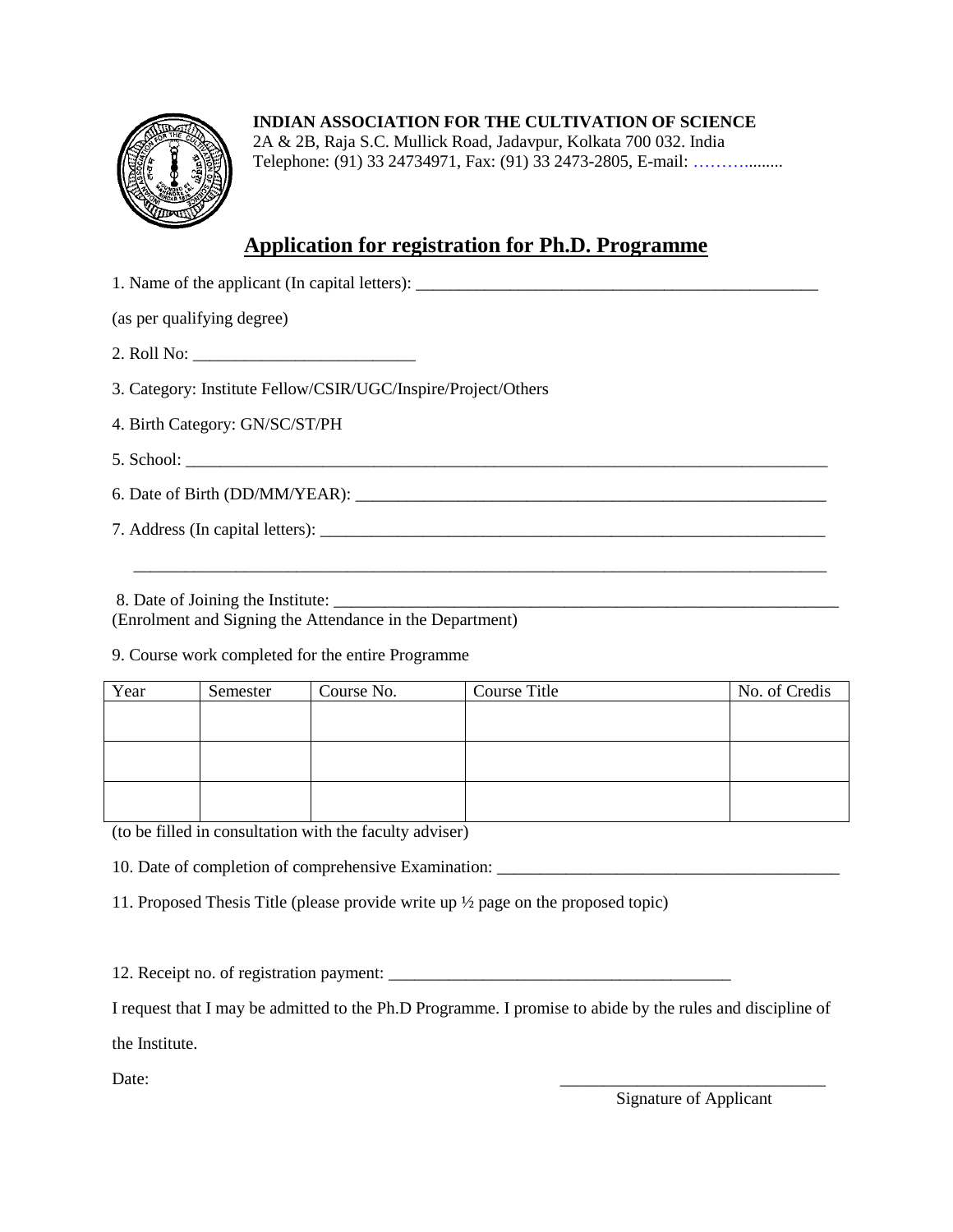

**INDIAN ASSOCIATION FOR THE CULTIVATION OF SCIENCE**

2A & 2B, Raja S.C. Mullick Road, Jadavpur, Kolkata 700 032. India Telephone: (91) 33 24734971, Fax: (91) 33 2473-2805, E-mail: [……….](mailto:sspid@iacs.res.in)........

## **Application for registration for Ph.D. Programme**

| (as per qualifying degree)                                    |  |  |  |  |
|---------------------------------------------------------------|--|--|--|--|
|                                                               |  |  |  |  |
| 3. Category: Institute Fellow/CSIR/UGC/Inspire/Project/Others |  |  |  |  |
| 4. Birth Category: GN/SC/ST/PH                                |  |  |  |  |
|                                                               |  |  |  |  |
| 6. Date of Birth (DD/MM/YEAR):                                |  |  |  |  |
|                                                               |  |  |  |  |
|                                                               |  |  |  |  |

8. Date of Joining the Institute:

(Enrolment and Signing the Attendance in the Department)

9. Course work completed for the entire Programme

| Year | Semester | Course No. | Course Title | No. of Credis |
|------|----------|------------|--------------|---------------|
|      |          |            |              |               |
|      |          |            |              |               |
|      |          |            |              |               |
|      |          |            |              |               |
|      |          |            |              |               |
|      |          |            |              |               |

(to be filled in consultation with the faculty adviser)

10. Date of completion of comprehensive Examination: \_\_\_\_\_\_\_\_\_\_\_\_\_\_\_\_\_\_\_\_\_\_\_\_\_\_\_\_

11. Proposed Thesis Title (please provide write up ½ page on the proposed topic)

12. Receipt no. of registration payment: \_\_\_\_\_\_\_\_\_\_\_\_\_\_\_\_\_\_\_\_\_\_\_\_\_\_\_\_\_\_\_\_\_\_\_\_\_\_\_\_

I request that I may be admitted to the Ph.D Programme. I promise to abide by the rules and discipline of the Institute.

Date:

Signature of Applicant